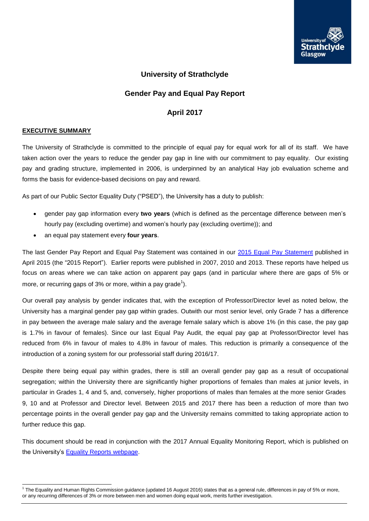

# **University of Strathclyde**

# **Gender Pay and Equal Pay Report**

# **April 2017**

#### **EXECUTIVE SUMMARY**

The University of Strathclyde is committed to the principle of equal pay for equal work for all of its staff. We have taken action over the years to reduce the gender pay gap in line with our commitment to pay equality. Our existing pay and grading structure, implemented in 2006, is underpinned by an analytical Hay job evaluation scheme and forms the basis for evidence-based decisions on pay and reward.

As part of our Public Sector Equality Duty ("PSED"), the University has a duty to publish:

- gender pay gap information every **two years** (which is defined as the percentage difference between men's hourly pay (excluding overtime) and women's hourly pay (excluding overtime)); and
- an equal pay statement every **four years**.

The last Gender Pay Report and Equal Pay Statement was contained in our 2015 Equal Pay Statement published in April 2015 (the "2015 Report"). Earlier reports were published in 2007, 2010 and 2013. These reports have helped us focus on areas where we can take action on apparent pay gaps (and in particular where there are gaps of 5% or more, or recurring gaps of 3% or more, within a pay grade<sup>1</sup>).

Our overall pay analysis by gender indicates that, with the exception of Professor/Director level as noted below, the University has a marginal gender pay gap within grades. Outwith our most senior level, only Grade 7 has a difference in pay between the average male salary and the average female salary which is above 1% (in this case, the pay gap is 1.7% in favour of females). Since our last Equal Pay Audit, the equal pay gap at Professor/Director level has reduced from 6% in favour of males to 4.8% in favour of males. This reduction is primarily a consequence of the introduction of a zoning system for our professorial staff during 2016/17.

Despite there being equal pay within grades, there is still an overall gender pay gap as a result of occupational segregation; within the University there are significantly higher proportions of females than males at junior levels, in particular in Grades 1, 4 and 5, and, conversely, higher proportions of males than females at the more senior Grades 9, 10 and at Professor and Director level. Between 2015 and 2017 there has been a reduction of more than two percentage points in the overall gender pay gap and the University remains committed to taking appropriate action to further reduce this gap.

This document should be read in conjunction with the 2017 Annual Equality Monitoring Report, which is published on the University's [Equality Reports](http://www.strath.ac.uk/equalitydiversity/) webpage.

<sup>&</sup>lt;sup>1</sup> The Equality and Human Rights Commission guidance (updated 16 August 2016) states that as a general rule, differences in pay of 5% or more, or any recurring differences of 3% or more between men and women doing equal work, merits further investigation.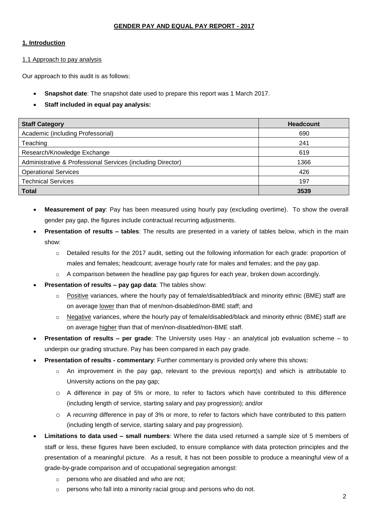### **GENDER PAY AND EQUAL PAY REPORT - 2017**

### **1. Introduction**

1.1 Approach to pay analysis

Our approach to this audit is as follows:

- **Snapshot date**: The snapshot date used to prepare this report was 1 March 2017.
- **Staff included in equal pay analysis:**

| <b>Staff Category</b>                                       | <b>Headcount</b> |
|-------------------------------------------------------------|------------------|
| Academic (including Professorial)                           | 690              |
| Teaching                                                    | 241              |
| Research/Knowledge Exchange                                 | 619              |
| Administrative & Professional Services (including Director) | 1366             |
| <b>Operational Services</b>                                 | 426              |
| <b>Technical Services</b>                                   | 197              |
| <b>Total</b>                                                | 3539             |

- **Measurement of pay**: Pay has been measured using hourly pay (excluding overtime). To show the overall gender pay gap, the figures include contractual recurring adjustments.
- **Presentation of results – tables**: The results are presented in a variety of tables below, which in the main show:
	- o Detailed results for the 2017 audit, setting out the following information for each grade: proportion of males and females; headcount; average hourly rate for males and females; and the pay gap.
	- $\circ$  A comparison between the headline pay gap figures for each year, broken down accordingly.
- **Presentation of results – pay gap data**: The tables show:
	- $\circ$  Positive variances, where the hourly pay of female/disabled/black and minority ethnic (BME) staff are on average lower than that of men/non-disabled/non-BME staff; and
	- $\circ$  Negative variances, where the hourly pay of female/disabled/black and minority ethnic (BME) staff are on average higher than that of men/non-disabled/non-BME staff.
- **Presentation of results – per grade**: The University uses Hay an analytical job evaluation scheme to underpin our grading structure. Pay has been compared in each pay grade.
- **Presentation of results - commentary**: Further commentary is provided only where this shows:
	- $\circ$  An improvement in the pay gap, relevant to the previous report(s) and which is attributable to University actions on the pay gap;
	- o A difference in pay of 5% or more, to refer to factors which have contributed to this difference (including length of service, starting salary and pay progression); and/or
	- o A *recurring* difference in pay of 3% or more, to refer to factors which have contributed to this pattern (including length of service, starting salary and pay progression).
- **Limitations to data used – small numbers**: Where the data used returned a sample size of 5 members of staff or less, these figures have been excluded, to ensure compliance with data protection principles and the presentation of a meaningful picture. As a result, it has not been possible to produce a meaningful view of a grade-by-grade comparison and of occupational segregation amongst:
	- o persons who are disabled and who are not;
	- o persons who fall into a minority racial group and persons who do not.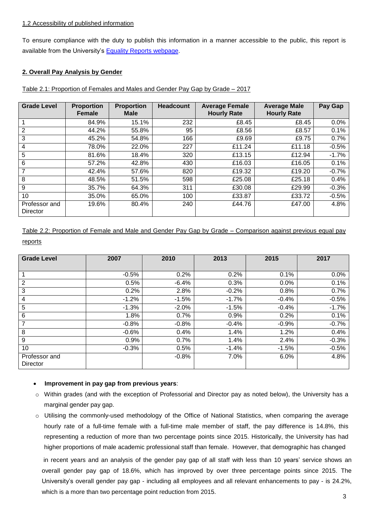#### 1.2 Accessibility of published information

To ensure compliance with the duty to publish this information in a manner accessible to the public, this report is available from the University's **Equality Reports webpage**.

# **2. Overall Pay Analysis by Gender**

Table 2.1: Proportion of Females and Males and Gender Pay Gap by Grade – 2017

| <b>Grade Level</b>        | <b>Proportion</b><br><b>Female</b> | <b>Proportion</b><br><b>Male</b> | <b>Headcount</b> | <b>Average Female</b><br><b>Hourly Rate</b> | <b>Average Male</b><br><b>Hourly Rate</b> | Pay Gap |
|---------------------------|------------------------------------|----------------------------------|------------------|---------------------------------------------|-------------------------------------------|---------|
|                           | 84.9%                              | 15.1%                            | 232              | £8.45                                       | £8.45                                     | 0.0%    |
| 2                         | 44.2%                              | 55.8%                            | 95               | £8.56                                       | £8.57                                     | 0.1%    |
| 3                         | 45.2%                              | 54.8%                            | 166              | £9.69                                       | £9.75                                     | 0.7%    |
| 4                         | 78.0%                              | 22.0%                            | 227              | £11.24                                      | £11.18                                    | $-0.5%$ |
| 5                         | 81.6%                              | 18.4%                            | 320              | £13.15                                      | £12.94                                    | $-1.7%$ |
| 6                         | 57.2%                              | 42.8%                            | 430              | £16.03                                      | £16.05                                    | 0.1%    |
| $\overline{7}$            | 42.4%                              | 57.6%                            | 820              | £19.32                                      | £19.20                                    | $-0.7%$ |
| 8                         | 48.5%                              | 51.5%                            | 598              | £25.08                                      | £25.18                                    | 0.4%    |
| 9                         | 35.7%                              | 64.3%                            | 311              | £30.08                                      | £29.99                                    | $-0.3%$ |
| 10                        | 35.0%                              | 65.0%                            | 100              | £33.87                                      | £33.72                                    | $-0.5%$ |
| Professor and<br>Director | 19.6%                              | 80.4%                            | 240              | £44.76                                      | £47.00                                    | 4.8%    |

Table 2.2: Proportion of Female and Male and Gender Pay Gap by Grade – Comparison against previous equal pay reports

| <b>Grade Level</b>        | 2007    | 2010    | 2013    | 2015    | 2017    |
|---------------------------|---------|---------|---------|---------|---------|
|                           |         |         |         |         |         |
|                           | $-0.5%$ | 0.2%    | 0.2%    | 0.1%    | 0.0%    |
| 2                         | 0.5%    | $-6.4%$ | 0.3%    | 0.0%    | 0.1%    |
| 3                         | 0.2%    | 2.8%    | $-0.2%$ | 0.8%    | 0.7%    |
| $\overline{\mathbf{4}}$   | $-1.2%$ | $-1.5%$ | $-1.7%$ | $-0.4%$ | $-0.5%$ |
| 5                         | $-1.3%$ | $-2.0%$ | $-1.5%$ | $-0.4%$ | $-1.7%$ |
| 6                         | 1.8%    | 0.7%    | 0.9%    | 0.2%    | 0.1%    |
| $\overline{7}$            | $-0.8%$ | $-0.8%$ | $-0.4%$ | $-0.9%$ | $-0.7%$ |
| 8                         | $-0.6%$ | 0.4%    | 1.4%    | 1.2%    | 0.4%    |
| 9                         | 0.9%    | 0.7%    | 1.4%    | 2.4%    | $-0.3%$ |
| 10                        | $-0.3%$ | 0.5%    | $-1.4%$ | $-1.5%$ | $-0.5%$ |
| Professor and<br>Director |         | $-0.8%$ | 7.0%    | 6.0%    | 4.8%    |

#### **Improvement in pay gap from previous years**:

- o Within grades (and with the exception of Professorial and Director pay as noted below), the University has a marginal gender pay gap.
- o Utilising the commonly-used methodology of the Office of National Statistics, when comparing the average hourly rate of a full-time female with a full-time male member of staff, the pay difference is 14.8%, this representing a reduction of more than two percentage points since 2015. Historically, the University has had higher proportions of male academic professional staff than female. However, that demographic has changed in recent years and an analysis of the gender pay gap of all staff with less than 10 years' service shows an

overall gender pay gap of 18.6%, which has improved by over three percentage points since 2015. The University's overall gender pay gap - including all employees and all relevant enhancements to pay - is 24.2%, which is a more than two percentage point reduction from 2015.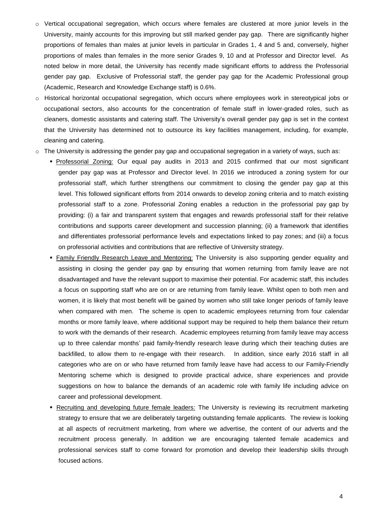- o Vertical occupational segregation, which occurs where females are clustered at more junior levels in the University, mainly accounts for this improving but still marked gender pay gap. There are significantly higher proportions of females than males at junior levels in particular in Grades 1, 4 and 5 and, conversely, higher proportions of males than females in the more senior Grades 9, 10 and at Professor and Director level. As noted below in more detail, the University has recently made significant efforts to address the Professorial gender pay gap. Exclusive of Professorial staff, the gender pay gap for the Academic Professional group (Academic, Research and Knowledge Exchange staff) is 0.6%.
- o Historical horizontal occupational segregation, which occurs where employees work in stereotypical jobs or occupational sectors, also accounts for the concentration of female staff in lower-graded roles, such as cleaners, domestic assistants and catering staff. The University's overall gender pay gap is set in the context that the University has determined not to outsource its key facilities management, including, for example, cleaning and catering.
- $\circ$  The University is addressing the gender pay gap and occupational segregation in a variety of ways, such as:
	- Professorial Zoning: Our equal pay audits in 2013 and 2015 confirmed that our most significant gender pay gap was at Professor and Director level. In 2016 we introduced a zoning system for our professorial staff, which further strengthens our commitment to closing the gender pay gap at this level. This followed significant efforts from 2014 onwards to develop zoning criteria and to match existing professorial staff to a zone. Professorial Zoning enables a reduction in the professorial pay gap by providing: (i) a fair and transparent system that engages and rewards professorial staff for their relative contributions and supports career development and succession planning; (ii) a framework that identifies and differentiates professorial performance levels and expectations linked to pay zones; and (iii) a focus on professorial activities and contributions that are reflective of University strategy.
	- Family Friendly Research Leave and Mentoring: The University is also supporting gender equality and assisting in closing the gender pay gap by ensuring that women returning from family leave are not disadvantaged and have the relevant support to maximise their potential. For academic staff, this includes a focus on supporting staff who are on or are returning from family leave. Whilst open to both men and women, it is likely that most benefit will be gained by women who still take longer periods of family leave when compared with men. The scheme is open to academic employees returning from four calendar months or more family leave, where additional support may be required to help them balance their return to work with the demands of their research. Academic employees returning from family leave may access up to three calendar months' paid family-friendly research leave during which their teaching duties are backfilled, to allow them to re-engage with their research. In addition, since early 2016 staff in all categories who are on or who have returned from family leave have had access to our Family-Friendly Mentoring scheme which is designed to provide practical advice, share experiences and provide suggestions on how to balance the demands of an academic role with family life including advice on career and professional development.
	- Recruiting and developing future female leaders: The University is reviewing its recruitment marketing strategy to ensure that we are deliberately targeting outstanding female applicants. The review is looking at all aspects of recruitment marketing, from where we advertise, the content of our adverts and the recruitment process generally. In addition we are encouraging talented female academics and professional services staff to come forward for promotion and develop their leadership skills through focused actions.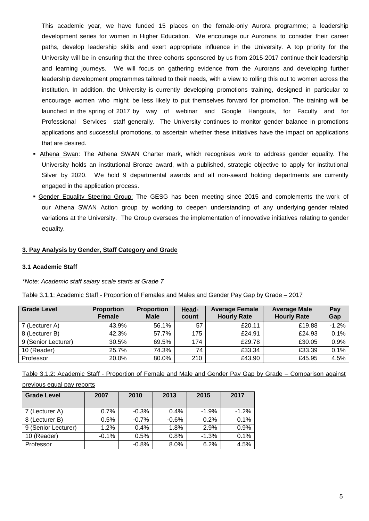This academic year, we have funded 15 places on the female-only Aurora programme; a leadership development series for women in Higher Education. We encourage our Aurorans to consider their career paths, develop leadership skills and exert appropriate influence in the University. A top priority for the University will be in ensuring that the three cohorts sponsored by us from 2015-2017 continue their leadership and learning journeys. We will focus on gathering evidence from the Aurorans and developing further leadership development programmes tailored to their needs, with a view to rolling this out to women across the institution. In addition, the University is currently developing promotions training, designed in particular to encourage women who might be less likely to put themselves forward for promotion. The training will be launched in the spring of 2017 by way of webinar and Google Hangouts, for Faculty and for Professional Services staff generally. The University continues to monitor gender balance in promotions applications and successful promotions, to ascertain whether these initiatives have the impact on applications that are desired.

- Athena Swan: The Athena SWAN Charter mark, which recognises work to address gender equality. The University holds an institutional Bronze award, with a published, strategic objective to apply for institutional Silver by 2020. We hold 9 departmental awards and all non-award holding departments are currently engaged in the application process.
- Gender Equality Steering Group: The GESG has been meeting since 2015 and complements the work of our Athena SWAN Action group by working to deepen understanding of any underlying gender related variations at the University. The Group oversees the implementation of innovative initiatives relating to gender equality.

## **3. Pay Analysis by Gender, Staff Category and Grade**

#### **3.1 Academic Staff**

*\*Note: Academic staff salary scale starts at Grade 7*

| Table 3.1.1: Academic Staff - Proportion of Females and Males and Gender Pay Gap by Grade – 2017 |  |  |
|--------------------------------------------------------------------------------------------------|--|--|
|                                                                                                  |  |  |

| <b>Grade Level</b>  | <b>Proportion</b><br><b>Female</b> | <b>Proportion</b><br><b>Male</b> | Head-<br>count | <b>Average Female</b><br><b>Hourly Rate</b> | <b>Average Male</b><br><b>Hourly Rate</b> | Pay<br>Gap |
|---------------------|------------------------------------|----------------------------------|----------------|---------------------------------------------|-------------------------------------------|------------|
| 7 (Lecturer A)      | 43.9%                              | 56.1%                            | 57             | £20.11                                      | £19.88                                    | $-1.2\%$   |
| 8 (Lecturer B)      | 42.3%                              | 57.7%                            | 175            | £24.91                                      | £24.93                                    | $0.1\%$    |
| 9 (Senior Lecturer) | 30.5%                              | 69.5%                            | 174            | £29.78                                      | £30.05                                    | 0.9%       |
| 10 (Reader)         | 25.7%                              | 74.3%                            | 74             | £33.34                                      | £33.39                                    | 0.1%       |
| Professor           | 20.0%                              | 80.0%                            | 210            | £43.90                                      | £45.95                                    | 4.5%       |

Table 3.1.2: Academic Staff - Proportion of Female and Male and Gender Pay Gap by Grade – Comparison against

#### previous equal pay reports

| <b>Grade Level</b>  | 2007    | 2010    | 2013    | 2015    | 2017    |
|---------------------|---------|---------|---------|---------|---------|
| 7 (Lecturer A)      | $0.7\%$ | $-0.3%$ | $0.4\%$ | $-1.9%$ | $-1.2%$ |
| 8 (Lecturer B)      | 0.5%    | $-0.7%$ | $-0.6%$ | 0.2%    | 0.1%    |
| 9 (Senior Lecturer) | 1.2%    | 0.4%    | 1.8%    | 2.9%    | 0.9%    |
| 10 (Reader)         | $-0.1%$ | 0.5%    | 0.8%    | $-1.3%$ | 0.1%    |
| Professor           |         | $-0.8%$ | 8.0%    | 6.2%    | 4.5%    |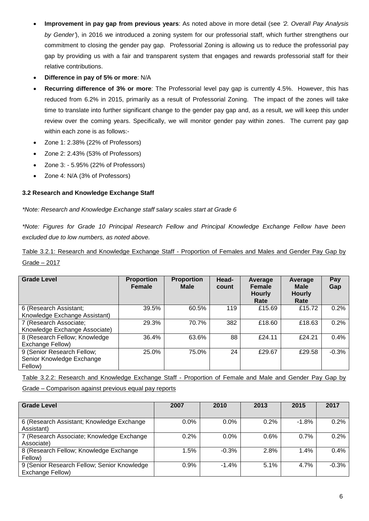- **Improvement in pay gap from previous years**: As noted above in more detail (see *'2. Overall Pay Analysis by Gender'*), in 2016 we introduced a zoning system for our professorial staff, which further strengthens our commitment to closing the gender pay gap. Professorial Zoning is allowing us to reduce the professorial pay gap by providing us with a fair and transparent system that engages and rewards professorial staff for their relative contributions.
- **Difference in pay of 5% or more**: N/A
- **Recurring difference of 3% or more**: The Professorial level pay gap is currently 4.5%. However, this has reduced from 6.2% in 2015, primarily as a result of Professorial Zoning. The impact of the zones will take time to translate into further significant change to the gender pay gap and, as a result, we will keep this under review over the coming years. Specifically, we will monitor gender pay within zones. The current pay gap within each zone is as follows:-
- Zone 1: 2.38% (22% of Professors)
- Zone 2: 2.43% (53% of Professors)
- Zone 3: 5.95% (22% of Professors)
- Zone 4: N/A (3% of Professors)

## **3.2 Research and Knowledge Exchange Staff**

*\*Note: Research and Knowledge Exchange staff salary scales start at Grade 6*

*\*Note: Figures for Grade 10 Principal Research Fellow and Principal Knowledge Exchange Fellow have been excluded due to low numbers, as noted above.*

Table 3.2.1: Research and Knowledge Exchange Staff - Proportion of Females and Males and Gender Pay Gap by Grade – 2017

| <b>Grade Level</b>                                                 | <b>Proportion</b><br><b>Female</b> | <b>Proportion</b><br><b>Male</b> | Head-<br>count | Average<br><b>Female</b><br><b>Hourly</b><br>Rate | Average<br><b>Male</b><br><b>Hourly</b><br>Rate | Pay<br>Gap |
|--------------------------------------------------------------------|------------------------------------|----------------------------------|----------------|---------------------------------------------------|-------------------------------------------------|------------|
| 6 (Research Assistant;<br>Knowledge Exchange Assistant)            | 39.5%                              | 60.5%                            | 119            | £15.69                                            | £15.72                                          | 0.2%       |
| 7 (Research Associate;<br>Knowledge Exchange Associate)            | 29.3%                              | 70.7%                            | 382            | £18.60                                            | £18.63                                          | 0.2%       |
| 8 (Research Fellow; Knowledge<br>Exchange Fellow)                  | 36.4%                              | 63.6%                            | 88             | £24.11                                            | £24.21                                          | $0.4\%$    |
| 9 (Senior Research Fellow;<br>Senior Knowledge Exchange<br>Fellow) | 25.0%                              | 75.0%                            | 24             | £29.67                                            | £29.58                                          | $-0.3%$    |

Table 3.2.2: Research and Knowledge Exchange Staff - Proportion of Female and Male and Gender Pay Gap by

Grade – Comparison against previous equal pay reports

| <b>Grade Level</b>                          | 2007 | 2010    | 2013 | 2015    | 2017    |
|---------------------------------------------|------|---------|------|---------|---------|
|                                             |      |         |      |         |         |
| 6 (Research Assistant; Knowledge Exchange   | 0.0% | 0.0%    | 0.2% | $-1.8%$ | 0.2%    |
| Assistant)                                  |      |         |      |         |         |
| 7 (Research Associate; Knowledge Exchange   | 0.2% | 0.0%    | 0.6% | 0.7%    | 0.2%    |
| Associate)                                  |      |         |      |         |         |
| 8 (Research Fellow; Knowledge Exchange      | 1.5% | $-0.3%$ | 2.8% | 1.4%    | 0.4%    |
| Fellow)                                     |      |         |      |         |         |
| 9 (Senior Research Fellow; Senior Knowledge | 0.9% | $-1.4%$ | 5.1% | 4.7%    | $-0.3%$ |
| Exchange Fellow)                            |      |         |      |         |         |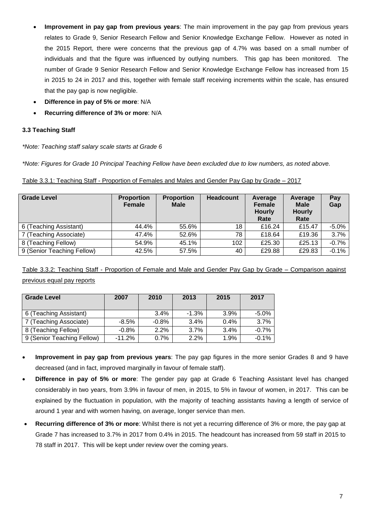- **Improvement in pay gap from previous years**: The main improvement in the pay gap from previous years relates to Grade 9, Senior Research Fellow and Senior Knowledge Exchange Fellow. However as noted in the 2015 Report, there were concerns that the previous gap of 4.7% was based on a small number of individuals and that the figure was influenced by outlying numbers. This gap has been monitored. The number of Grade 9 Senior Research Fellow and Senior Knowledge Exchange Fellow has increased from 15 in 2015 to 24 in 2017 and this, together with female staff receiving increments within the scale, has ensured that the pay gap is now negligible.
- **Difference in pay of 5% or more**: N/A
- **Recurring difference of 3% or more**: N/A

# **3.3 Teaching Staff**

*\*Note: Teaching staff salary scale starts at Grade 6*

*\*Note: Figures for Grade 10 Principal Teaching Fellow have been excluded due to low numbers, as noted above.*

| <b>Grade Level</b>         | <b>Proportion</b><br><b>Female</b> | <b>Proportion</b><br><b>Male</b> | <b>Headcount</b> | Average<br>Female<br><b>Hourly</b><br>Rate | Average<br><b>Male</b><br><b>Hourly</b><br>Rate | Pay<br>Gap |
|----------------------------|------------------------------------|----------------------------------|------------------|--------------------------------------------|-------------------------------------------------|------------|
| 6 (Teaching Assistant)     | 44.4%                              | 55.6%                            | 18               | £16.24                                     | £15.47                                          | $-5.0\%$   |
| 7 (Teaching Associate)     | 47.4%                              | 52.6%                            | 78               | £18.64                                     | £19.36                                          | 3.7%       |
| 8 (Teaching Fellow)        | 54.9%                              | 45.1%                            | 102              | £25.30                                     | £25.13                                          | $-0.7%$    |
| 9 (Senior Teaching Fellow) | 42.5%                              | 57.5%                            | 40               | £29.88                                     | £29.83                                          | $-0.1%$    |

Table 3.3.2: Teaching Staff - Proportion of Female and Male and Gender Pay Gap by Grade – Comparison against previous equal pay reports

| <b>Grade Level</b>         | 2007     | 2010     | 2013     | 2015    | 2017    |
|----------------------------|----------|----------|----------|---------|---------|
|                            |          |          |          |         |         |
| 6 (Teaching Assistant)     |          | $3.4\%$  | $-1.3\%$ | 3.9%    | $-5.0%$ |
| 7 (Teaching Associate)     | -8.5%    | $-0.8\%$ | 3.4%     | $0.4\%$ | 3.7%    |
| 8 (Teaching Fellow)        | $-0.8%$  | 2.2%     | 3.7%     | 3.4%    | $-0.7%$ |
| 9 (Senior Teaching Fellow) | $-11.2%$ | 0.7%     | 2.2%     | 1.9%    | $-0.1%$ |

- **Improvement in pay gap from previous years**: The pay gap figures in the more senior Grades 8 and 9 have decreased (and in fact, improved marginally in favour of female staff).
- **Difference in pay of 5% or more**: The gender pay gap at Grade 6 Teaching Assistant level has changed considerably in two years, from 3.9% in favour of men, in 2015, to 5% in favour of women, in 2017. This can be explained by the fluctuation in population, with the majority of teaching assistants having a length of service of around 1 year and with women having, on average, longer service than men.
- **Recurring difference of 3% or more**: Whilst there is not yet a recurring difference of 3% or more, the pay gap at Grade 7 has increased to 3.7% in 2017 from 0.4% in 2015. The headcount has increased from 59 staff in 2015 to 78 staff in 2017. This will be kept under review over the coming years.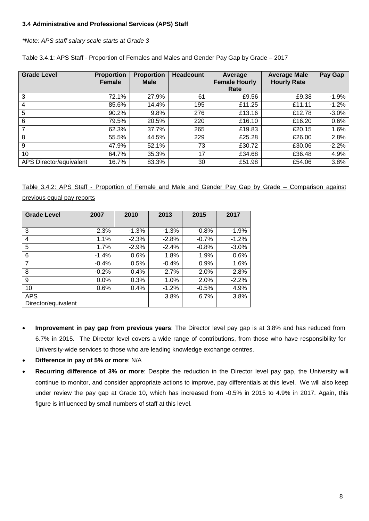# **3.4 Administrative and Professional Services (APS) Staff**

*\*Note: APS staff salary scale starts at Grade 3*

| <b>Grade Level</b>      | <b>Proportion</b><br><b>Female</b> | <b>Proportion</b><br><b>Male</b> | <b>Headcount</b> | Average<br><b>Female Hourly</b><br>Rate | <b>Average Male</b><br><b>Hourly Rate</b> | Pay Gap |
|-------------------------|------------------------------------|----------------------------------|------------------|-----------------------------------------|-------------------------------------------|---------|
| 3                       | 72.1%                              | 27.9%                            | 61               | £9.56                                   | £9.38                                     | $-1.9%$ |
| 4                       | 85.6%                              | 14.4%                            | 195              | £11.25                                  | £11.11                                    | $-1.2%$ |
| 5                       | 90.2%                              | 9.8%                             | 276              | £13.16                                  | £12.78                                    | $-3.0%$ |
| 6                       | 79.5%                              | 20.5%                            | 220              | £16.10                                  | £16.20                                    | 0.6%    |
| $\overline{7}$          | 62.3%                              | 37.7%                            | 265              | £19.83                                  | £20.15                                    | 1.6%    |
| 8                       | 55.5%                              | 44.5%                            | 229              | £25.28                                  | £26.00                                    | 2.8%    |
| 9                       | 47.9%                              | 52.1%                            | 73               | £30.72                                  | £30.06                                    | $-2.2%$ |
| 10                      | 64.7%                              | 35.3%                            | 17               | £34.68                                  | £36.48                                    | 4.9%    |
| APS Director/equivalent | 16.7%                              | 83.3%                            | 30               | £51.98                                  | £54.06                                    | 3.8%    |

| Table 3.4.1: APS Staff - Proportion of Females and Males and Gender Pay Gap by Grade – 2017 |
|---------------------------------------------------------------------------------------------|
|---------------------------------------------------------------------------------------------|

Table 3.4.2: APS Staff - Proportion of Female and Male and Gender Pay Gap by Grade – Comparison against previous equal pay reports

| <b>Grade Level</b>  | 2007    | 2010    | 2013     | 2015    | 2017    |
|---------------------|---------|---------|----------|---------|---------|
|                     |         |         |          |         |         |
| 3                   | 2.3%    | $-1.3%$ | $-1.3%$  | $-0.8%$ | $-1.9%$ |
| 4                   | 1.1%    | $-2.3%$ | $-2.8%$  | $-0.7%$ | $-1.2%$ |
| 5                   | 1.7%    | $-2.9%$ | $-2.4%$  | $-0.8%$ | $-3.0%$ |
| 6                   | $-1.4%$ | $0.6\%$ | 1.8%     | 1.9%    | 0.6%    |
| $\overline{7}$      | $-0.4%$ | 0.5%    | $-0.4\%$ | 0.9%    | 1.6%    |
| 8                   | $-0.2%$ | 0.4%    | 2.7%     | 2.0%    | 2.8%    |
| 9                   | 0.0%    | 0.3%    | 1.0%     | 2.0%    | $-2.2%$ |
| 10                  | 0.6%    | 0.4%    | $-1.2\%$ | $-0.5%$ | 4.9%    |
| <b>APS</b>          |         |         | 3.8%     | 6.7%    | 3.8%    |
| Director/equivalent |         |         |          |         |         |

- **Improvement in pay gap from previous years**: The Director level pay gap is at 3.8% and has reduced from 6.7% in 2015. The Director level covers a wide range of contributions, from those who have responsibility for University-wide services to those who are leading knowledge exchange centres.
- **Difference in pay of 5% or more**: N/A
- **Recurring difference of 3% or more**: Despite the reduction in the Director level pay gap, the University will continue to monitor, and consider appropriate actions to improve, pay differentials at this level. We will also keep under review the pay gap at Grade 10, which has increased from -0.5% in 2015 to 4.9% in 2017. Again, this figure is influenced by small numbers of staff at this level.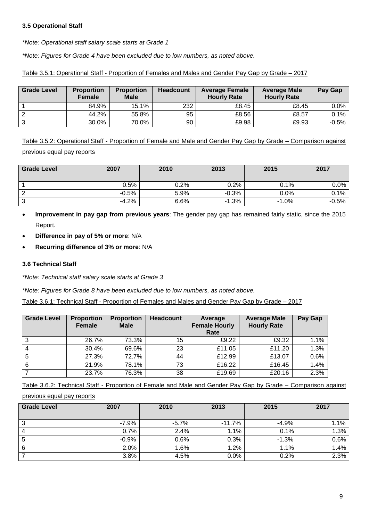## **3.5 Operational Staff**

*\*Note: Operational staff salary scale starts at Grade 1*

*\*Note: Figures for Grade 4 have been excluded due to low numbers, as noted above.*

| <b>Grade Level</b> | <b>Proportion</b><br><b>Female</b> | <b>Proportion</b><br><b>Male</b> | <b>Headcount</b> | <b>Average Female</b><br><b>Hourly Rate</b> | <b>Average Male</b><br><b>Hourly Rate</b> | Pay Gap |
|--------------------|------------------------------------|----------------------------------|------------------|---------------------------------------------|-------------------------------------------|---------|
|                    | 84.9%                              | 15.1%                            | 232              | £8.45                                       | £8.45                                     | 0.0%    |
|                    | 44.2%                              | 55.8%                            | 95               | £8.56                                       | £8.57                                     | 0.1%    |
| ີ                  | 30.0%                              | 70.0%                            | 90               | £9.98                                       | £9.93                                     | $-0.5%$ |

Table 3.5.1: Operational Staff - Proportion of Females and Males and Gender Pay Gap by Grade – 2017

Table 3.5.2: Operational Staff - Proportion of Female and Male and Gender Pay Gap by Grade – Comparison against previous equal pay reports

| <b>Grade Level</b> | 2007    | 2010    | 2013    | 2015    | 2017    |
|--------------------|---------|---------|---------|---------|---------|
|                    |         |         |         |         |         |
|                    | 0.5%    | $0.2\%$ | $0.2\%$ | 0.1%    | $0.0\%$ |
| c                  | $-0.5%$ | 5.9%    | $-0.3%$ | 0.0%    | $0.1\%$ |
| ົ                  | $-4.2%$ | 6.6%    | $-1.3%$ | $-1.0%$ | $-0.5%$ |

- **Improvement in pay gap from previous years**: The gender pay gap has remained fairly static, since the 2015 Report.
- **Difference in pay of 5% or more**: N/A
- **Recurring difference of 3% or more**: N/A

### **3.6 Technical Staff**

*\*Note: Technical staff salary scale starts at Grade 3*

*\*Note: Figures for Grade 8 have been excluded due to low numbers, as noted above.*

Table 3.6.1: Technical Staff - Proportion of Females and Males and Gender Pay Gap by Grade – 2017

| <b>Grade Level</b> | <b>Proportion</b><br><b>Female</b> | <b>Proportion</b><br><b>Male</b> | <b>Headcount</b> | Average<br><b>Female Hourly</b><br>Rate | <b>Average Male</b><br><b>Hourly Rate</b> | Pay Gap |
|--------------------|------------------------------------|----------------------------------|------------------|-----------------------------------------|-------------------------------------------|---------|
| 3                  | 26.7%                              | 73.3%                            | 15 <sub>2</sub>  | £9.22                                   | £9.32                                     | 1.1%    |
| 4                  | 30.4%                              | 69.6%                            | 23               | £11.05                                  | £11.20                                    | 1.3%    |
| 5                  | 27.3%                              | 72.7%                            | 44               | £12.99                                  | £13.07                                    | 0.6%    |
| 6                  | 21.9%                              | 78.1%                            | 73               | £16.22                                  | £16.45                                    | 1.4%    |
|                    | 23.7%                              | 76.3%                            | 38               | £19.69                                  | £20.16                                    | 2.3%    |

Table 3.6.2: Technical Staff - Proportion of Female and Male and Gender Pay Gap by Grade – Comparison against

#### previous equal pay reports

| <b>Grade Level</b> | 2007    | 2010    | 2013     | 2015    | 2017 |
|--------------------|---------|---------|----------|---------|------|
| ີ<br>J             | $-7.9%$ | $-5.7%$ | $-11.7%$ | $-4.9%$ | 1.1% |
|                    | 0.7%    | 2.4%    | 1.1%     | 0.1%    | 1.3% |
| 5                  | $-0.9%$ | 0.6%    | 0.3%     | $-1.3%$ | 0.6% |
| 6                  | 2.0%    | 1.6%    | 1.2%     | 1.1%    | 1.4% |
|                    | 3.8%    | 4.5%    | 0.0%     | 0.2%    | 2.3% |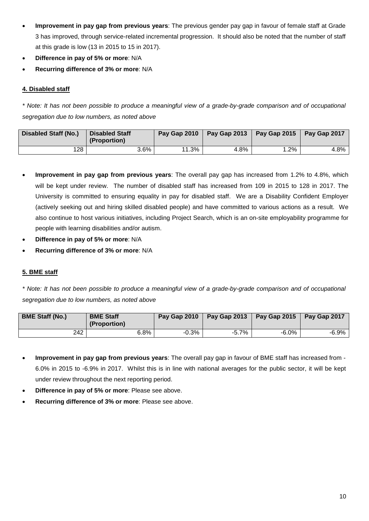- **Improvement in pay gap from previous years**: The previous gender pay gap in favour of female staff at Grade 3 has improved, through service-related incremental progression. It should also be noted that the number of staff at this grade is low (13 in 2015 to 15 in 2017).
- **Difference in pay of 5% or more**: N/A
- **Recurring difference of 3% or more**: N/A

# **4. Disabled staff**

\* Note: It has not been possible to produce a meaningful view of a grade-by-grade comparison and of occupational *segregation due to low numbers, as noted above*

| <b>Disabled Staff (No.)</b> | <b>Disabled Staff</b><br>(Proportion) | Pay Gap 2010 | Pay Gap 2013 | $P$ ay Gap 2015 | Pay Gap 2017 |
|-----------------------------|---------------------------------------|--------------|--------------|-----------------|--------------|
| 128                         | 3.6%                                  | 1.3%         | 4.8%         | $.2\%$          | 4.8%         |

- **Improvement in pay gap from previous years**: The overall pay gap has increased from 1.2% to 4.8%, which will be kept under review. The number of disabled staff has increased from 109 in 2015 to 128 in 2017. The University is committed to ensuring equality in pay for disabled staff. We are a Disability Confident Employer (actively seeking out and hiring skilled disabled people) and have committed to various actions as a result. We also continue to host various initiatives, including Project Search, which is an on-site employability programme for people with learning disabilities and/or autism.
- **Difference in pay of 5% or more**: N/A
- **Recurring difference of 3% or more**: N/A

# **5. BME staff**

\* Note: It has not been possible to produce a meaningful view of a grade-by-grade comparison and of occupational *segregation due to low numbers, as noted above*

| <b>BME Staff (No.)</b> | <b>BME Staff</b><br>(Proportion) | Pay Gap 2010 |          | Pay Gap 2013   Pay Gap 2015 | Pay Gap 2017 |
|------------------------|----------------------------------|--------------|----------|-----------------------------|--------------|
| 242                    | $6.8\%$                          | -0.3%        | $-5.7\%$ | $-6.0\%$                    | -6.9%        |

- **Improvement in pay gap from previous years**: The overall pay gap in favour of BME staff has increased from 6.0% in 2015 to -6.9% in 2017. Whilst this is in line with national averages for the public sector, it will be kept under review throughout the next reporting period.
- **Difference in pay of 5% or more**: Please see above.
- **Recurring difference of 3% or more**: Please see above.